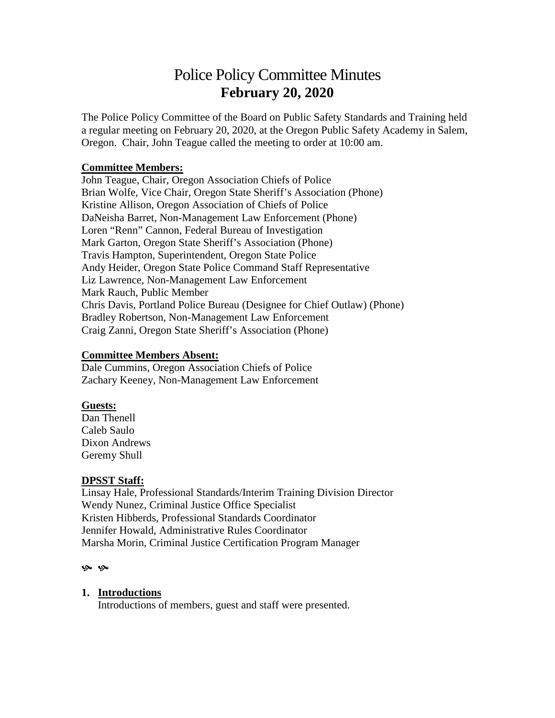# Police Policy Committee Minutes **February 20, 2020**

The Police Policy Committee of the Board on Public Safety Standards and Training held a regular meeting on February 20, 2020, at the Oregon Public Safety Academy in Salem, Oregon. Chair, John Teague called the meeting to order at 10:00 am.

## **Committee Members:**

John Teague, Chair, Oregon Association Chiefs of Police Brian Wolfe, Vice Chair, Oregon State Sheriff's Association (Phone) Kristine Allison, Oregon Association of Chiefs of Police DaNeisha Barret, Non-Management Law Enforcement (Phone) Loren "Renn" Cannon, Federal Bureau of Investigation Mark Garton, Oregon State Sheriff's Association (Phone) Travis Hampton, Superintendent, Oregon State Police Andy Heider, Oregon State Police Command Staff Representative Liz Lawrence, Non-Management Law Enforcement Mark Rauch, Public Member Chris Davis, Portland Police Bureau (Designee for Chief Outlaw) (Phone) Bradley Robertson, Non-Management Law Enforcement Craig Zanni, Oregon State Sheriff's Association (Phone)

#### **Committee Members Absent:**

Dale Cummins, Oregon Association Chiefs of Police Zachary Keeney, Non-Management Law Enforcement

## **Guests:**

Dan Thenell Caleb Saulo Dixon Andrews Geremy Shull

#### **DPSST Staff:**

Linsay Hale, Professional Standards/Interim Training Division Director Wendy Nunez, Criminal Justice Office Specialist Kristen Hibberds, Professional Standards Coordinator Jennifer Howald, Administrative Rules Coordinator Marsha Morin, Criminal Justice Certification Program Manager

#### ىي يې

#### **1. Introductions**

Introductions of members, guest and staff were presented.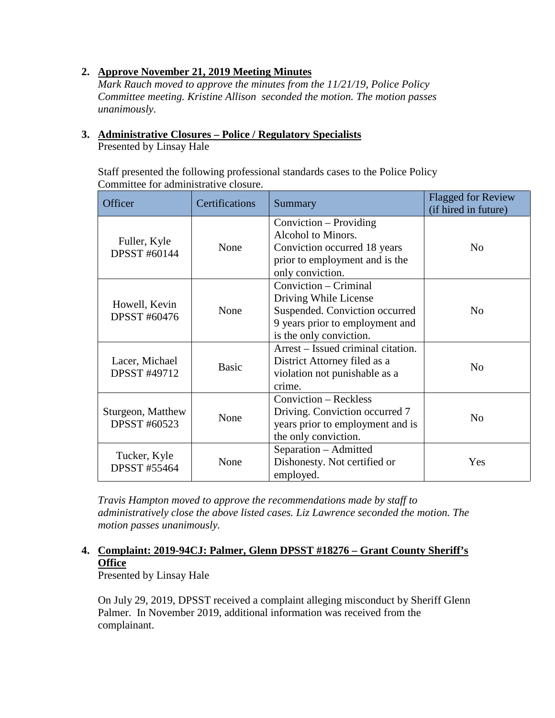## **2. Approve November 21, 2019 Meeting Minutes**

*Mark Rauch moved to approve the minutes from the 11/21/19, Police Policy Committee meeting. Kristine Allison seconded the motion. The motion passes unanimously*.

# **3. Administrative Closures – Police / Regulatory Specialists**

Presented by Linsay Hale

Staff presented the following professional standards cases to the Police Policy Committee for administrative closure.

| Officer                             | Certifications | Summary                            | <b>Flagged for Review</b> |
|-------------------------------------|----------------|------------------------------------|---------------------------|
|                                     |                |                                    | (if hired in future)      |
|                                     |                | Conviction – Providing             |                           |
|                                     |                | Alcohol to Minors.                 |                           |
| Fuller, Kyle<br><b>DPSST #60144</b> | None           | Conviction occurred 18 years       | N <sub>o</sub>            |
|                                     |                | prior to employment and is the     |                           |
|                                     |                | only conviction.                   |                           |
|                                     |                | Conviction – Criminal              |                           |
|                                     |                | Driving While License              |                           |
| Howell, Kevin                       | None           | Suspended. Conviction occurred     | N <sub>0</sub>            |
| <b>DPSST #60476</b>                 |                | 9 years prior to employment and    |                           |
|                                     |                | is the only conviction.            |                           |
|                                     |                | Arrest – Issued criminal citation. |                           |
| Lacer, Michael                      |                | District Attorney filed as a       |                           |
| <b>DPSST #49712</b>                 | <b>Basic</b>   | violation not punishable as a      | N <sub>0</sub>            |
|                                     |                | crime.                             |                           |
|                                     |                | Conviction - Reckless              |                           |
| Sturgeon, Matthew                   | None           | Driving. Conviction occurred 7     | N <sub>0</sub>            |
| <b>DPSST #60523</b>                 |                | years prior to employment and is   |                           |
|                                     |                | the only conviction.               |                           |
|                                     |                | Separation – Admitted              |                           |
| Tucker, Kyle<br><b>DPSST #55464</b> | None           | Dishonesty. Not certified or       | Yes                       |
|                                     |                | employed.                          |                           |

*Travis Hampton moved to approve the recommendations made by staff to administratively close the above listed cases. Liz Lawrence seconded the motion. The motion passes unanimously.*

# **4. Complaint: 2019-94CJ: Palmer, Glenn DPSST #18276 – Grant County Sheriff's Office**

Presented by Linsay Hale

On July 29, 2019, DPSST received a complaint alleging misconduct by Sheriff Glenn Palmer. In November 2019, additional information was received from the complainant.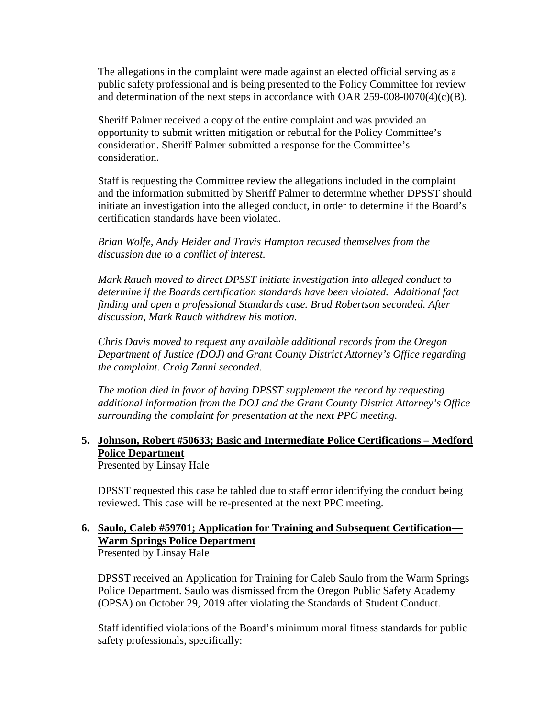The allegations in the complaint were made against an elected official serving as a public safety professional and is being presented to the Policy Committee for review and determination of the next steps in accordance with OAR 259-008-0070(4)(c)(B).

Sheriff Palmer received a copy of the entire complaint and was provided an opportunity to submit written mitigation or rebuttal for the Policy Committee's consideration. Sheriff Palmer submitted a response for the Committee's consideration.

Staff is requesting the Committee review the allegations included in the complaint and the information submitted by Sheriff Palmer to determine whether DPSST should initiate an investigation into the alleged conduct, in order to determine if the Board's certification standards have been violated.

*Brian Wolfe, Andy Heider and Travis Hampton recused themselves from the discussion due to a conflict of interest.*

*Mark Rauch moved to direct DPSST initiate investigation into alleged conduct to determine if the Boards certification standards have been violated. Additional fact finding and open a professional Standards case. Brad Robertson seconded. After discussion, Mark Rauch withdrew his motion.*

*Chris Davis moved to request any available additional records from the Oregon Department of Justice (DOJ) and Grant County District Attorney's Office regarding the complaint. Craig Zanni seconded.* 

*The motion died in favor of having DPSST supplement the record by requesting additional information from the DOJ and the Grant County District Attorney's Office surrounding the complaint for presentation at the next PPC meeting.*

## **5. Johnson, Robert #50633; Basic and Intermediate Police Certifications – Medford Police Department**

Presented by Linsay Hale

DPSST requested this case be tabled due to staff error identifying the conduct being reviewed. This case will be re-presented at the next PPC meeting.

# **6. Saulo, Caleb #59701; Application for Training and Subsequent Certification— Warm Springs Police Department**

Presented by Linsay Hale

DPSST received an Application for Training for Caleb Saulo from the Warm Springs Police Department. Saulo was dismissed from the Oregon Public Safety Academy (OPSA) on October 29, 2019 after violating the Standards of Student Conduct.

Staff identified violations of the Board's minimum moral fitness standards for public safety professionals, specifically: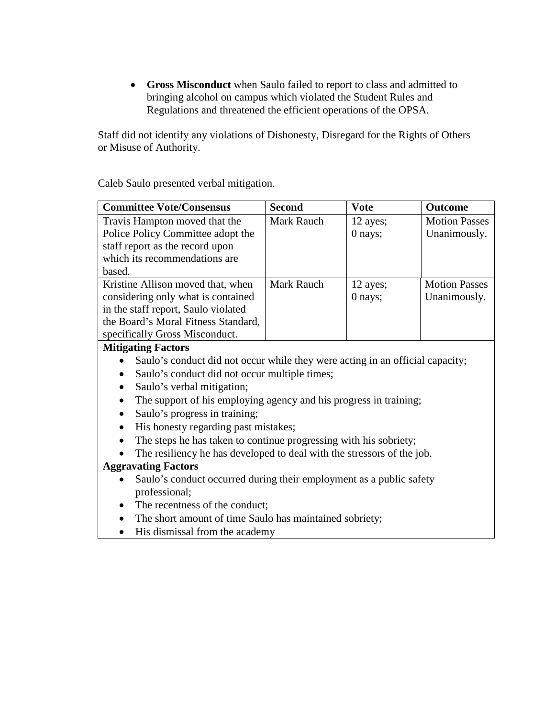• **Gross Misconduct** when Saulo failed to report to class and admitted to bringing alcohol on campus which violated the Student Rules and Regulations and threatened the efficient operations of the OPSA.

Staff did not identify any violations of Dishonesty, Disregard for the Rights of Others or Misuse of Authority.

Caleb Saulo presented verbal mitigation.

| <b>Committee Vote/Consensus</b>     | <b>Second</b> | <b>Vote</b> | <b>Outcome</b>       |
|-------------------------------------|---------------|-------------|----------------------|
| Travis Hampton moved that the       | Mark Rauch    | 12 ayes;    | <b>Motion Passes</b> |
| Police Policy Committee adopt the   |               | $0$ nays;   | Unanimously.         |
| staff report as the record upon     |               |             |                      |
| which its recommendations are       |               |             |                      |
| based.                              |               |             |                      |
| Kristine Allison moved that, when   | Mark Rauch    | 12 ayes;    | <b>Motion Passes</b> |
| considering only what is contained  |               | 0 nays;     | Unanimously.         |
| in the staff report, Saulo violated |               |             |                      |
| the Board's Moral Fitness Standard, |               |             |                      |
| specifically Gross Misconduct.      |               |             |                      |
| <b>Mitigating Factors</b>           |               |             |                      |

- Saulo's conduct did not occur while they were acting in an official capacity;
- Saulo's conduct did not occur multiple times;
- Saulo's verbal mitigation;
- The support of his employing agency and his progress in training;
- Saulo's progress in training;
- His honesty regarding past mistakes;
- The steps he has taken to continue progressing with his sobriety;
- The resiliency he has developed to deal with the stressors of the job.

## **Aggravating Factors**

- Saulo's conduct occurred during their employment as a public safety professional;
- The recentness of the conduct;
- The short amount of time Saulo has maintained sobriety;
- His dismissal from the academy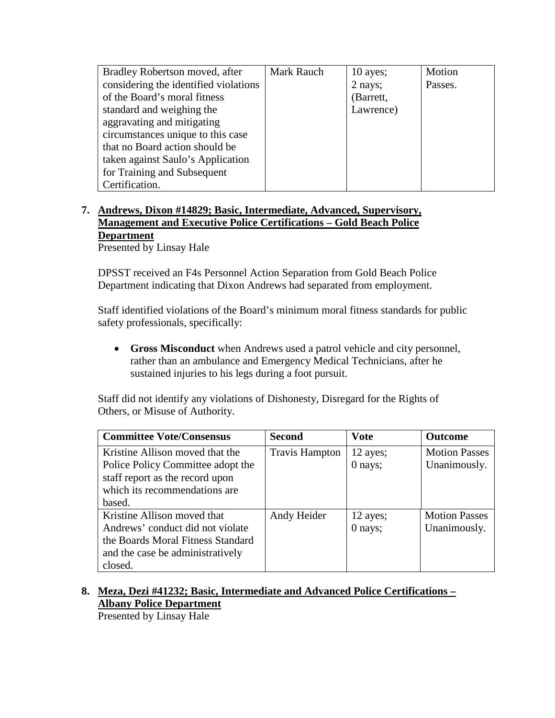| Bradley Robertson moved, after        | Mark Rauch | $10$ ayes; | Motion  |
|---------------------------------------|------------|------------|---------|
| considering the identified violations |            | 2 nays;    | Passes. |
| of the Board's moral fitness          |            | (Barrett,  |         |
| standard and weighing the             |            | Lawrence)  |         |
| aggravating and mitigating            |            |            |         |
| circumstances unique to this case     |            |            |         |
| that no Board action should be        |            |            |         |
| taken against Saulo's Application     |            |            |         |
| for Training and Subsequent           |            |            |         |
| Certification.                        |            |            |         |

## **7. Andrews, Dixon #14829; Basic, Intermediate, Advanced, Supervisory, Management and Executive Police Certifications – Gold Beach Police Department** Presented by Linsay Hale

DPSST received an F4s Personnel Action Separation from Gold Beach Police Department indicating that Dixon Andrews had separated from employment.

Staff identified violations of the Board's minimum moral fitness standards for public safety professionals, specifically:

• **Gross Misconduct** when Andrews used a patrol vehicle and city personnel, rather than an ambulance and Emergency Medical Technicians, after he sustained injuries to his legs during a foot pursuit.

Staff did not identify any violations of Dishonesty, Disregard for the Rights of Others, or Misuse of Authority.

| <b>Committee Vote/Consensus</b>   | <b>Second</b>         | <b>Vote</b> | <b>Outcome</b>       |
|-----------------------------------|-----------------------|-------------|----------------------|
| Kristine Allison moved that the   | <b>Travis Hampton</b> | 12 ayes;    | <b>Motion Passes</b> |
| Police Policy Committee adopt the |                       | 0 nays;     | Unanimously.         |
| staff report as the record upon   |                       |             |                      |
| which its recommendations are     |                       |             |                      |
| based.                            |                       |             |                      |
| Kristine Allison moved that       | Andy Heider           | 12 ayes;    | <b>Motion Passes</b> |
| Andrews' conduct did not violate  |                       | 0 nays;     | Unanimously.         |
| the Boards Moral Fitness Standard |                       |             |                      |
| and the case be administratively  |                       |             |                      |
| closed.                           |                       |             |                      |

# **8. Meza, Dezi #41232; Basic, Intermediate and Advanced Police Certifications – Albany Police Department**

Presented by Linsay Hale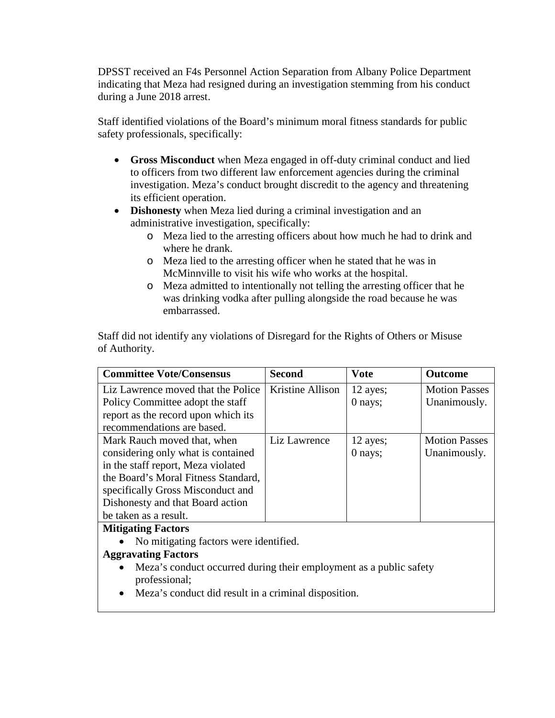DPSST received an F4s Personnel Action Separation from Albany Police Department indicating that Meza had resigned during an investigation stemming from his conduct during a June 2018 arrest.

Staff identified violations of the Board's minimum moral fitness standards for public safety professionals, specifically:

- **Gross Misconduct** when Meza engaged in off-duty criminal conduct and lied to officers from two different law enforcement agencies during the criminal investigation. Meza's conduct brought discredit to the agency and threatening its efficient operation.
- **Dishonesty** when Meza lied during a criminal investigation and an administrative investigation, specifically:
	- o Meza lied to the arresting officers about how much he had to drink and where he drank.
	- o Meza lied to the arresting officer when he stated that he was in McMinnville to visit his wife who works at the hospital.
	- o Meza admitted to intentionally not telling the arresting officer that he was drinking vodka after pulling alongside the road because he was embarrassed.

Staff did not identify any violations of Disregard for the Rights of Others or Misuse of Authority.

| Second           | <b>Vote</b> | <b>Outcome</b>       |
|------------------|-------------|----------------------|
| Kristine Allison | 12 ayes;    | <b>Motion Passes</b> |
|                  | $0$ nays;   | Unanimously.         |
|                  |             |                      |
|                  |             |                      |
| Liz Lawrence     | 12 ayes;    | <b>Motion Passes</b> |
|                  | $0$ nays;   | Unanimously.         |
|                  |             |                      |
|                  |             |                      |
|                  |             |                      |
|                  |             |                      |
|                  |             |                      |
|                  |             |                      |

## **Mitigating Factors**

- No mitigating factors were identified.
- **Aggravating Factors**
	- Meza's conduct occurred during their employment as a public safety professional;
	- Meza's conduct did result in a criminal disposition.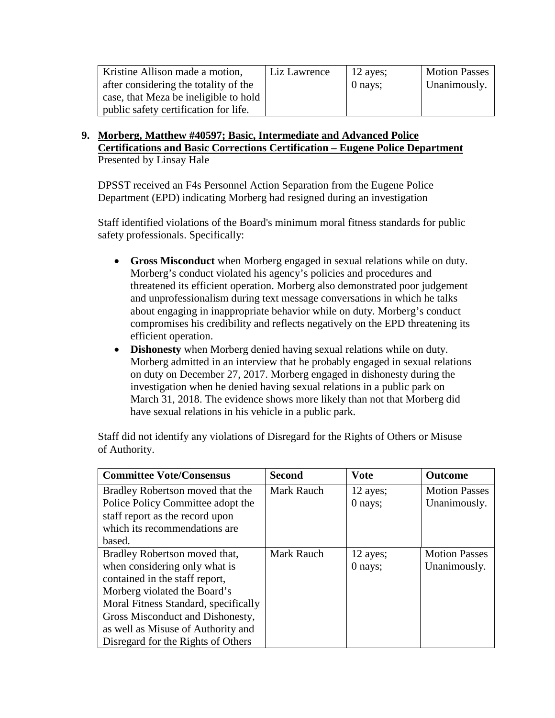| Kristine Allison made a motion,       | Liz Lawrence | $12$ ayes; | <b>Motion Passes</b> |
|---------------------------------------|--------------|------------|----------------------|
| after considering the totality of the |              | 0 nays;    | Unanimously.         |
| case, that Meza be ineligible to hold |              |            |                      |
| public safety certification for life. |              |            |                      |

**9. Morberg, Matthew #40597; Basic, Intermediate and Advanced Police Certifications and Basic Corrections Certification – Eugene Police Department** Presented by Linsay Hale

DPSST received an F4s Personnel Action Separation from the Eugene Police Department (EPD) indicating Morberg had resigned during an investigation

Staff identified violations of the Board's minimum moral fitness standards for public safety professionals. Specifically:

- **Gross Misconduct** when Morberg engaged in sexual relations while on duty. Morberg's conduct violated his agency's policies and procedures and threatened its efficient operation. Morberg also demonstrated poor judgement and unprofessionalism during text message conversations in which he talks about engaging in inappropriate behavior while on duty. Morberg's conduct compromises his credibility and reflects negatively on the EPD threatening its efficient operation.
- **Dishonesty** when Morberg denied having sexual relations while on duty. Morberg admitted in an interview that he probably engaged in sexual relations on duty on December 27, 2017. Morberg engaged in dishonesty during the investigation when he denied having sexual relations in a public park on March 31, 2018. The evidence shows more likely than not that Morberg did have sexual relations in his vehicle in a public park.

| <b>Committee Vote/Consensus</b>      | <b>Second</b> | <b>Vote</b> | <b>Outcome</b>       |
|--------------------------------------|---------------|-------------|----------------------|
| Bradley Robertson moved that the     | Mark Rauch    | 12 ayes;    | <b>Motion Passes</b> |
| Police Policy Committee adopt the    |               | 0 nays;     | Unanimously.         |
| staff report as the record upon      |               |             |                      |
| which its recommendations are        |               |             |                      |
| based.                               |               |             |                      |
| Bradley Robertson moved that,        | Mark Rauch    | 12 ayes;    | <b>Motion Passes</b> |
| when considering only what is        |               | 0 nays;     | Unanimously.         |
| contained in the staff report,       |               |             |                      |
| Morberg violated the Board's         |               |             |                      |
| Moral Fitness Standard, specifically |               |             |                      |
| Gross Misconduct and Dishonesty,     |               |             |                      |
| as well as Misuse of Authority and   |               |             |                      |
| Disregard for the Rights of Others   |               |             |                      |

Staff did not identify any violations of Disregard for the Rights of Others or Misuse of Authority.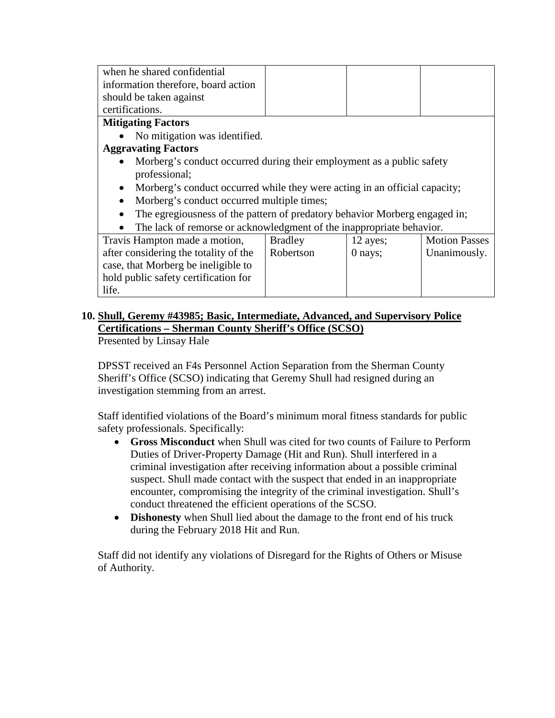| when he shared confidential                                                             |                |           |                      |
|-----------------------------------------------------------------------------------------|----------------|-----------|----------------------|
| information therefore, board action                                                     |                |           |                      |
| should be taken against                                                                 |                |           |                      |
| certifications.                                                                         |                |           |                      |
| <b>Mitigating Factors</b>                                                               |                |           |                      |
| No mitigation was identified.                                                           |                |           |                      |
| <b>Aggravating Factors</b>                                                              |                |           |                      |
| Morberg's conduct occurred during their employment as a public safety                   |                |           |                      |
| professional;                                                                           |                |           |                      |
| Morberg's conduct occurred while they were acting in an official capacity;<br>$\bullet$ |                |           |                      |
| Morberg's conduct occurred multiple times;                                              |                |           |                      |
| The egregiousness of the pattern of predatory behavior Morberg engaged in;              |                |           |                      |
| The lack of remorse or acknowledgment of the inappropriate behavior.                    |                |           |                      |
| Travis Hampton made a motion,                                                           | <b>Bradley</b> | 12 ayes;  | <b>Motion Passes</b> |
| after considering the totality of the                                                   | Robertson      | $0$ nays; | Unanimously.         |
| case, that Morberg be ineligible to                                                     |                |           |                      |
| hold public safety certification for                                                    |                |           |                      |
| life.                                                                                   |                |           |                      |

# **10. Shull, Geremy #43985; Basic, Intermediate, Advanced, and Supervisory Police Certifications – Sherman County Sheriff's Office (SCSO)**

Presented by Linsay Hale

DPSST received an F4s Personnel Action Separation from the Sherman County Sheriff's Office (SCSO) indicating that Geremy Shull had resigned during an investigation stemming from an arrest.

Staff identified violations of the Board's minimum moral fitness standards for public safety professionals. Specifically:

- **Gross Misconduct** when Shull was cited for two counts of Failure to Perform Duties of Driver-Property Damage (Hit and Run). Shull interfered in a criminal investigation after receiving information about a possible criminal suspect. Shull made contact with the suspect that ended in an inappropriate encounter, compromising the integrity of the criminal investigation. Shull's conduct threatened the efficient operations of the SCSO.
- **Dishonesty** when Shull lied about the damage to the front end of his truck during the February 2018 Hit and Run.

Staff did not identify any violations of Disregard for the Rights of Others or Misuse of Authority.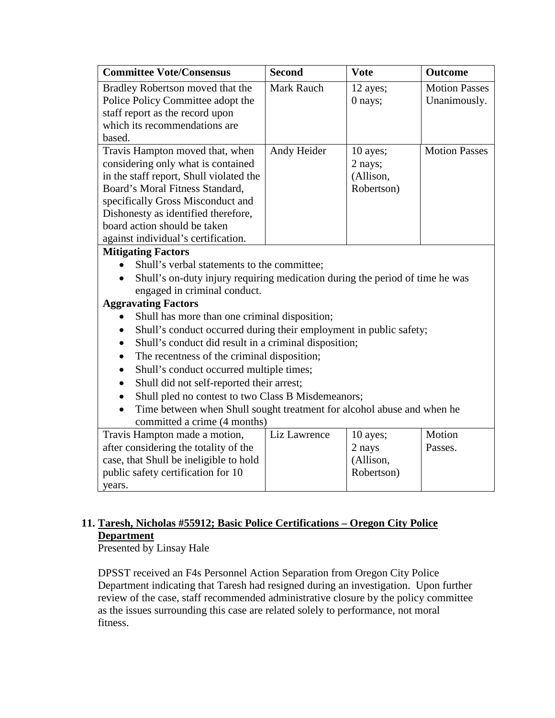| <b>Committee Vote/Consensus</b>                                                                                                                                                                                                                                                                                                                                                                                                                                                                                                                                                                                                                                                                                | <b>Second</b>     | <b>Vote</b>                                    | <b>Outcome</b>                       |
|----------------------------------------------------------------------------------------------------------------------------------------------------------------------------------------------------------------------------------------------------------------------------------------------------------------------------------------------------------------------------------------------------------------------------------------------------------------------------------------------------------------------------------------------------------------------------------------------------------------------------------------------------------------------------------------------------------------|-------------------|------------------------------------------------|--------------------------------------|
| Bradley Robertson moved that the<br>Police Policy Committee adopt the<br>staff report as the record upon<br>which its recommendations are                                                                                                                                                                                                                                                                                                                                                                                                                                                                                                                                                                      | <b>Mark Rauch</b> | 12 ayes;<br>0 nays;                            | <b>Motion Passes</b><br>Unanimously. |
| based.                                                                                                                                                                                                                                                                                                                                                                                                                                                                                                                                                                                                                                                                                                         |                   |                                                |                                      |
| Travis Hampton moved that, when<br>considering only what is contained<br>in the staff report, Shull violated the<br>Board's Moral Fitness Standard,<br>specifically Gross Misconduct and<br>Dishonesty as identified therefore,<br>board action should be taken                                                                                                                                                                                                                                                                                                                                                                                                                                                | Andy Heider       | 10 ayes;<br>2 nays;<br>(Allison,<br>Robertson) | <b>Motion Passes</b>                 |
| against individual's certification.                                                                                                                                                                                                                                                                                                                                                                                                                                                                                                                                                                                                                                                                            |                   |                                                |                                      |
| <b>Mitigating Factors</b><br>Shull's verbal statements to the committee;<br>Shull's on-duty injury requiring medication during the period of time he was<br>engaged in criminal conduct.<br><b>Aggravating Factors</b><br>Shull has more than one criminal disposition;<br>Shull's conduct occurred during their employment in public safety;<br>Shull's conduct did result in a criminal disposition;<br>The recentness of the criminal disposition;<br>Shull's conduct occurred multiple times;<br>Shull did not self-reported their arrest;<br>Shull pled no contest to two Class B Misdemeanors;<br>Time between when Shull sought treatment for alcohol abuse and when he<br>committed a crime (4 months) |                   |                                                |                                      |
| Travis Hampton made a motion,<br>after considering the totality of the<br>case, that Shull be ineligible to hold<br>public safety certification for 10<br>years.                                                                                                                                                                                                                                                                                                                                                                                                                                                                                                                                               | Liz Lawrence      | 10 ayes;<br>2 nays<br>(Allison,<br>Robertson)  | Motion<br>Passes.                    |

# **11. Taresh, Nicholas #55912; Basic Police Certifications – Oregon City Police Department**

Presented by Linsay Hale

DPSST received an F4s Personnel Action Separation from Oregon City Police Department indicating that Taresh had resigned during an investigation. Upon further review of the case, staff recommended administrative closure by the policy committee as the issues surrounding this case are related solely to performance, not moral fitness.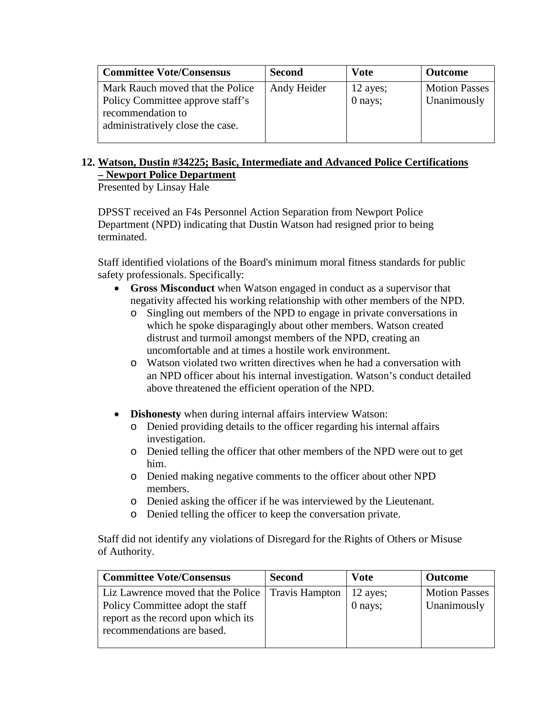| <b>Committee Vote/Consensus</b>                                                                                               | <b>Second</b> | <b>Vote</b>         | <b>Outcome</b>                      |
|-------------------------------------------------------------------------------------------------------------------------------|---------------|---------------------|-------------------------------------|
| Mark Rauch moved that the Police<br>Policy Committee approve staff's<br>recommendation to<br>administratively close the case. | Andy Heider   | 12 ayes;<br>0 nays; | <b>Motion Passes</b><br>Unanimously |

## **12. Watson, Dustin #34225; Basic, Intermediate and Advanced Police Certifications – Newport Police Department**

Presented by Linsay Hale

DPSST received an F4s Personnel Action Separation from Newport Police Department (NPD) indicating that Dustin Watson had resigned prior to being terminated.

Staff identified violations of the Board's minimum moral fitness standards for public safety professionals. Specifically:

- **Gross Misconduct** when Watson engaged in conduct as a supervisor that negativity affected his working relationship with other members of the NPD.
	- o Singling out members of the NPD to engage in private conversations in which he spoke disparagingly about other members. Watson created distrust and turmoil amongst members of the NPD, creating an uncomfortable and at times a hostile work environment.
	- o Watson violated two written directives when he had a conversation with an NPD officer about his internal investigation. Watson's conduct detailed above threatened the efficient operation of the NPD.
- **Dishonesty** when during internal affairs interview Watson:
	- o Denied providing details to the officer regarding his internal affairs investigation.
	- o Denied telling the officer that other members of the NPD were out to get him.
	- o Denied making negative comments to the officer about other NPD members.
	- o Denied asking the officer if he was interviewed by the Lieutenant.
	- o Denied telling the officer to keep the conversation private.

Staff did not identify any violations of Disregard for the Rights of Others or Misuse of Authority.

| <b>Committee Vote/Consensus</b>                                                                                                                              | <b>Second</b> | <b>Vote</b>           | <b>Outcome</b>                      |
|--------------------------------------------------------------------------------------------------------------------------------------------------------------|---------------|-----------------------|-------------------------------------|
| Liz Lawrence moved that the Police   Travis Hampton<br>Policy Committee adopt the staff<br>report as the record upon which its<br>recommendations are based. |               | $12$ ayes;<br>0 nays; | <b>Motion Passes</b><br>Unanimously |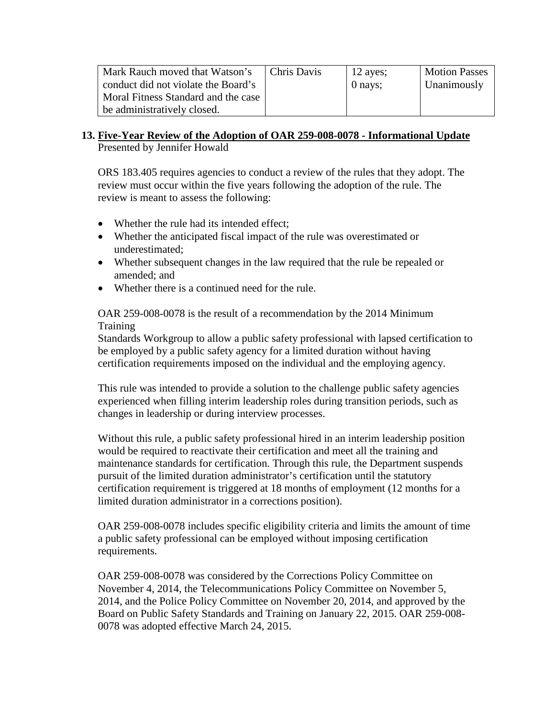| Mark Rauch moved that Watson's      | Chris Davis | 12 ayes; | <b>Motion Passes</b> |
|-------------------------------------|-------------|----------|----------------------|
| conduct did not violate the Board's |             | 0 nays;  | Unanimously          |
| Moral Fitness Standard and the case |             |          |                      |
| be administratively closed.         |             |          |                      |

#### **13. Five-Year Review of the Adoption of OAR 259-008-0078 - Informational Update** Presented by Jennifer Howald

ORS 183.405 requires agencies to conduct a review of the rules that they adopt. The review must occur within the five years following the adoption of the rule. The review is meant to assess the following:

- Whether the rule had its intended effect;
- Whether the anticipated fiscal impact of the rule was overestimated or underestimated;
- Whether subsequent changes in the law required that the rule be repealed or amended; and
- Whether there is a continued need for the rule.

OAR 259-008-0078 is the result of a recommendation by the 2014 Minimum Training

Standards Workgroup to allow a public safety professional with lapsed certification to be employed by a public safety agency for a limited duration without having certification requirements imposed on the individual and the employing agency.

This rule was intended to provide a solution to the challenge public safety agencies experienced when filling interim leadership roles during transition periods, such as changes in leadership or during interview processes.

Without this rule, a public safety professional hired in an interim leadership position would be required to reactivate their certification and meet all the training and maintenance standards for certification. Through this rule, the Department suspends pursuit of the limited duration administrator's certification until the statutory certification requirement is triggered at 18 months of employment (12 months for a limited duration administrator in a corrections position).

OAR 259-008-0078 includes specific eligibility criteria and limits the amount of time a public safety professional can be employed without imposing certification requirements.

OAR 259-008-0078 was considered by the Corrections Policy Committee on November 4, 2014, the Telecommunications Policy Committee on November 5, 2014, and the Police Policy Committee on November 20, 2014, and approved by the Board on Public Safety Standards and Training on January 22, 2015. OAR 259-008- 0078 was adopted effective March 24, 2015.